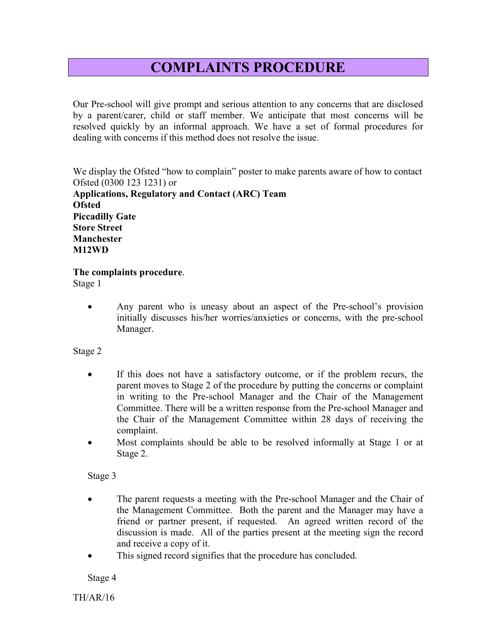## COMPLAINTS PROCEDURE

Our Pre-school will give prompt and serious attention to any concerns that are disclosed by a parent/carer, child or staff member. We anticipate that most concerns will be resolved quickly by an informal approach. We have a set of formal procedures for dealing with concerns if this method does not resolve the issue.

We display the Ofsted "how to complain" poster to make parents aware of how to contact Ofsted (0300 123 1231) or Applications, Regulatory and Contact (ARC) Team **Ofsted** Piccadilly Gate Store Street Manchester

## The complaints procedure.

Stage 1

M12WD

 Any parent who is uneasy about an aspect of the Pre-school's provision initially discusses his/her worries/anxieties or concerns, with the pre-school Manager.

Stage 2

- If this does not have a satisfactory outcome, or if the problem recurs, the parent moves to Stage 2 of the procedure by putting the concerns or complaint in writing to the Pre-school Manager and the Chair of the Management Committee. There will be a written response from the Pre-school Manager and the Chair of the Management Committee within 28 days of receiving the complaint.
- Most complaints should be able to be resolved informally at Stage 1 or at Stage 2.

Stage 3

- The parent requests a meeting with the Pre-school Manager and the Chair of the Management Committee. Both the parent and the Manager may have a friend or partner present, if requested. An agreed written record of the discussion is made. All of the parties present at the meeting sign the record and receive a copy of it.
- This signed record signifies that the procedure has concluded.

Stage 4

TH/AR/16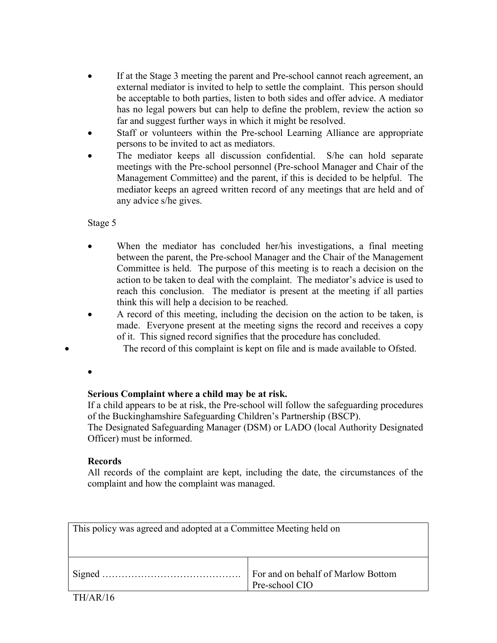- If at the Stage 3 meeting the parent and Pre-school cannot reach agreement, an external mediator is invited to help to settle the complaint. This person should be acceptable to both parties, listen to both sides and offer advice. A mediator has no legal powers but can help to define the problem, review the action so far and suggest further ways in which it might be resolved.
- Staff or volunteers within the Pre-school Learning Alliance are appropriate persons to be invited to act as mediators.
- The mediator keeps all discussion confidential. S/he can hold separate meetings with the Pre-school personnel (Pre-school Manager and Chair of the Management Committee) and the parent, if this is decided to be helpful. The mediator keeps an agreed written record of any meetings that are held and of any advice s/he gives.

Stage 5

- When the mediator has concluded her/his investigations, a final meeting between the parent, the Pre-school Manager and the Chair of the Management Committee is held. The purpose of this meeting is to reach a decision on the action to be taken to deal with the complaint. The mediator's advice is used to reach this conclusion. The mediator is present at the meeting if all parties think this will help a decision to be reached.
- A record of this meeting, including the decision on the action to be taken, is made. Everyone present at the meeting signs the record and receives a copy of it. This signed record signifies that the procedure has concluded.
	- The record of this complaint is kept on file and is made available to Ofsted.

 $\bullet$ 

## Serious Complaint where a child may be at risk.

If a child appears to be at risk, the Pre-school will follow the safeguarding procedures of the Buckinghamshire Safeguarding Children's Partnership (BSCP).

The Designated Safeguarding Manager (DSM) or LADO (local Authority Designated Officer) must be informed.

## Records

All records of the complaint are kept, including the date, the circumstances of the complaint and how the complaint was managed.

| This policy was agreed and adopted at a Committee Meeting held on |                                                      |
|-------------------------------------------------------------------|------------------------------------------------------|
|                                                                   | For and on behalf of Marlow Bottom<br>Pre-school CIO |